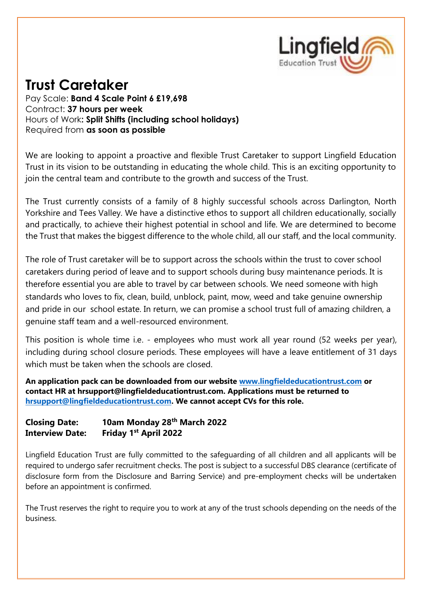

# **Trust Caretaker**

Pay Scale: **Band 4 Scale Point 6 £19,698** Contract: **37 hours per week** Hours of Work**: Split Shifts (including school holidays)** Required from **as soon as possible**

We are looking to appoint a proactive and flexible Trust Caretaker to support Lingfield Education Trust in its vision to be outstanding in educating the whole child. This is an exciting opportunity to join the central team and contribute to the growth and success of the Trust.

The Trust currently consists of a family of 8 highly successful schools across Darlington, North Yorkshire and Tees Valley. We have a distinctive ethos to support all children educationally, socially and practically, to achieve their highest potential in school and life. We are determined to become the Trust that makes the biggest difference to the whole child, all our staff, and the local community.

The role of Trust caretaker will be to support across the schools within the trust to cover school caretakers during period of leave and to support schools during busy maintenance periods. It is therefore essential you are able to travel by car between schools. We need someone with high standards who loves to fix, clean, build, unblock, paint, mow, weed and take genuine ownership and pride in our school estate. In return, we can promise a school trust full of amazing children, a genuine staff team and a well-resourced environment.

This position is whole time i.e. - employees who must work all year round (52 weeks per year), including during school closure periods. These employees will have a leave entitlement of 31 days which must be taken when the schools are closed.

**An application pack can be downloaded from our website [www.lingfieldeducationtrust.com](http://www.lingfieldeducationtrust.com/) or contact HR at hrsupport@lingfieldeducationtrust.com. Applications must be returned to [hrsupport@lingfieldeducationtrust.com.](mailto:hrsupport@lingfieldeducationtrust.com) We cannot accept CVs for this role.** 

### **Closing Date: 10am Monday 28th March 2022 Interview Date: Friday 1st April 2022**

Lingfield Education Trust are fully committed to the safeguarding of all children and all applicants will be required to undergo safer recruitment checks. The post is subject to a successful DBS clearance (certificate of disclosure form from the Disclosure and Barring Service) and pre-employment checks will be undertaken before an appointment is confirmed.

The Trust reserves the right to require you to work at any of the trust schools depending on the needs of the business.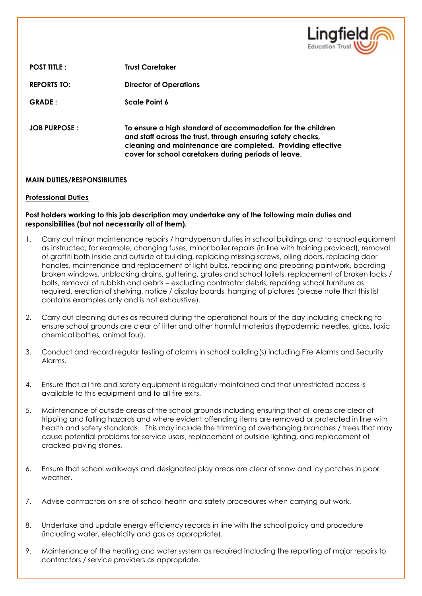

**POST TITLE : Trust Caretaker REPORTS TO: Director of Operations GRADE : Scale Point 6 JOB PURPOSE : To ensure a high standard of accommodation for the children and staff across the trust, through ensuring safety checks, cleaning and maintenance are completed. Providing effective cover for school caretakers during periods of leave.**

#### **MAIN DUTIES/RESPONSIBILITIES**

#### **Professional Duties**

#### **Post holders working to this job description may undertake any of the following main duties and responsibilities (but not necessarily all of them).**

- 1. Carry out minor maintenance repairs / handyperson duties in school buildings and to school equipment as instructed, for example; changing fuses, minor boiler repairs (in line with training provided), removal of graffiti both inside and outside of building, replacing missing screws, oiling doors, replacing door handles, maintenance and replacement of light bulbs, repairing and preparing paintwork, boarding broken windows, unblocking drains, guttering, grates and school toilets, replacement of broken locks / bolts, removal of rubbish and debris – excluding contractor debris, repairing school furniture as required, erection of shelving, notice / display boards, hanging of pictures (please note that this list contains examples only and is not exhaustive).
- 2. Carry out cleaning duties as required during the operational hours of the day including checking to ensure school grounds are clear of litter and other harmful materials (hypodermic needles, glass, toxic chemical bottles, animal foul).
- 3. Conduct and record regular testing of alarms in school building(s) including Fire Alarms and Security Alarms.
- 4. Ensure that all fire and safety equipment is regularly maintained and that unrestricted access is available to this equipment and to all fire exits.
- 5. Maintenance of outside areas of the school grounds including ensuring that all areas are clear of tripping and falling hazards and where evident offending items are removed or protected in line with health and safety standards. This may include the trimming of overhanging branches / trees that may cause potential problems for service users, replacement of outside lighting, and replacement of cracked paving stones.
- 6. Ensure that school walkways and designated play areas are clear of snow and icy patches in poor weather.
- 7. Advise contractors on site of school health and safety procedures when carrying out work.
- 8. Undertake and update energy efficiency records in line with the school policy and procedure (including water, electricity and gas as appropriate).
- 9. Maintenance of the heating and water system as required including the reporting of major repairs to contractors / service providers as appropriate.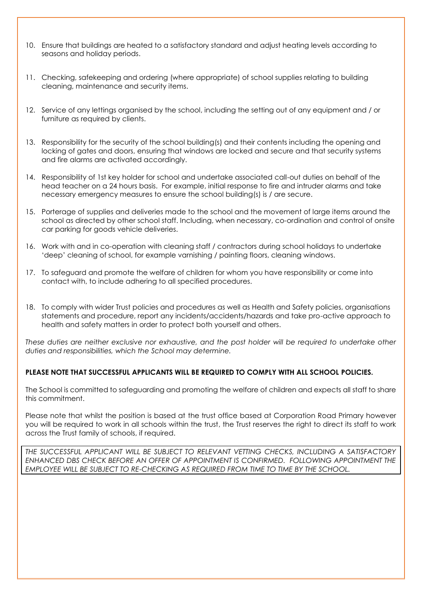- 10. Ensure that buildings are heated to a satisfactory standard and adjust heating levels according to seasons and holiday periods.
- 11. Checking, safekeeping and ordering (where appropriate) of school supplies relating to building cleaning, maintenance and security items.
- 12. Service of any lettings organised by the school, including the setting out of any equipment and / or furniture as required by clients.
- 13. Responsibility for the security of the school building(s) and their contents including the opening and locking of gates and doors, ensuring that windows are locked and secure and that security systems and fire alarms are activated accordingly.
- 14. Responsibility of 1st key holder for school and undertake associated call-out duties on behalf of the head teacher on a 24 hours basis. For example, initial response to fire and intruder alarms and take necessary emergency measures to ensure the school building(s) is / are secure.
- 15. Porterage of supplies and deliveries made to the school and the movement of large items around the school as directed by other school staff. Including, when necessary, co-ordination and control of onsite car parking for goods vehicle deliveries.
- 16. Work with and in co-operation with cleaning staff / contractors during school holidays to undertake 'deep' cleaning of school, for example varnishing / painting floors, cleaning windows.
- 17. To safeguard and promote the welfare of children for whom you have responsibility or come into contact with, to include adhering to all specified procedures.
- 18. To comply with wider Trust policies and procedures as well as Health and Safety policies, organisations statements and procedure, report any incidents/accidents/hazards and take pro-active approach to health and safety matters in order to protect both yourself and others.

*These duties are neither exclusive nor exhaustive, and the post holder will be required to undertake other duties and responsibilities, which the School may determine.*

#### **PLEASE NOTE THAT SUCCESSFUL APPLICANTS WILL BE REQUIRED TO COMPLY WITH ALL SCHOOL POLICIES.**

The School is committed to safeguarding and promoting the welfare of children and expects all staff to share this commitment.

Please note that whilst the position is based at the trust office based at Corporation Road Primary however you will be required to work in all schools within the trust, the Trust reserves the right to direct its staff to work across the Trust family of schools, if required.

*THE SUCCESSFUL APPLICANT WILL BE SUBJECT TO RELEVANT VETTING CHECKS, INCLUDING A SATISFACTORY ENHANCED DBS CHECK BEFORE AN OFFER OF APPOINTMENT IS CONFIRMED. FOLLOWING APPOINTMENT THE EMPLOYEE WILL BE SUBJECT TO RE-CHECKING AS REQUIRED FROM TIME TO TIME BY THE SCHOOL.*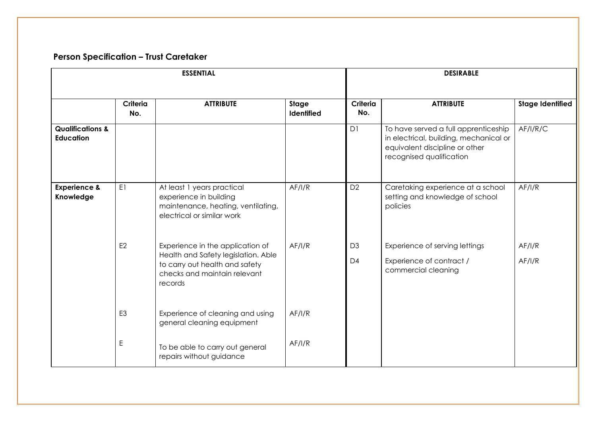## **Person Specification – Trust Caretaker**

| <b>ESSENTIAL</b>                                |                 |                                                                                                                                                      |                            | <b>DESIRABLE</b>                 |                                                                                                                                              |                         |
|-------------------------------------------------|-----------------|------------------------------------------------------------------------------------------------------------------------------------------------------|----------------------------|----------------------------------|----------------------------------------------------------------------------------------------------------------------------------------------|-------------------------|
|                                                 | Criteria<br>No. | <b>ATTRIBUTE</b>                                                                                                                                     | Stage<br><b>Identified</b> | Criteria<br>No.                  | <b>ATTRIBUTE</b>                                                                                                                             | <b>Stage Identified</b> |
| <b>Qualifications &amp;</b><br><b>Education</b> |                 |                                                                                                                                                      |                            | D1                               | To have served a full apprenticeship<br>in electrical, building, mechanical or<br>equivalent discipline or other<br>recognised qualification | AF/I/R/C                |
| <b>Experience &amp;</b><br>Knowledge            | E1              | At least 1 years practical<br>experience in building<br>maintenance, heating, ventilating,<br>electrical or similar work                             | AF/I/R                     | D <sub>2</sub>                   | Caretaking experience at a school<br>setting and knowledge of school<br>policies                                                             | AF/I/R                  |
|                                                 | E <sub>2</sub>  | Experience in the application of<br>Health and Safety legislation. Able<br>to carry out health and safety<br>checks and maintain relevant<br>records | AF/IR                      | D <sub>3</sub><br>D <sub>4</sub> | Experience of serving lettings<br>Experience of contract /<br>commercial cleaning                                                            | AF/I/R<br>AF/I/R        |
|                                                 | E <sub>3</sub>  | Experience of cleaning and using<br>general cleaning equipment                                                                                       | AF/I/R                     |                                  |                                                                                                                                              |                         |
|                                                 | E               | To be able to carry out general<br>repairs without guidance                                                                                          | AF/I/R                     |                                  |                                                                                                                                              |                         |